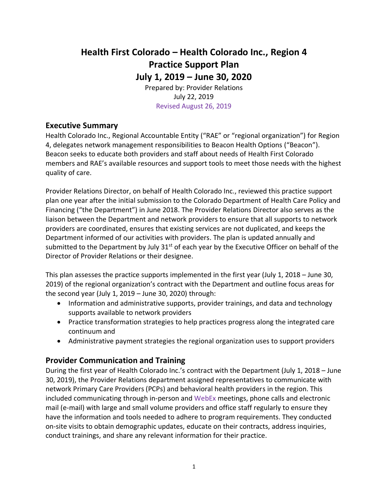# **Health First Colorado – Health Colorado Inc., Region 4 Practice Support Plan July 1, 2019 – June 30, 2020**

Prepared by: Provider Relations July 22, 2019 Revised August 26, 2019

## **Executive Summary**

Health Colorado Inc., Regional Accountable Entity ("RAE" or "regional organization") for Region 4, delegates network management responsibilities to Beacon Health Options ("Beacon"). Beacon seeks to educate both providers and staff about needs of Health First Colorado members and RAE's available resources and support tools to meet those needs with the highest quality of care.

Provider Relations Director, on behalf of Health Colorado Inc., reviewed this practice support plan one year after the initial submission to the Colorado Department of Health Care Policy and Financing ("the Department") in June 2018. The Provider Relations Director also serves as the liaison between the Department and network providers to ensure that all supports to network providers are coordinated, ensures that existing services are not duplicated, and keeps the Department informed of our activities with providers. The plan is updated annually and submitted to the Department by July  $31<sup>st</sup>$  of each year by the Executive Officer on behalf of the Director of Provider Relations or their designee.

This plan assesses the practice supports implemented in the first year (July 1, 2018 – June 30, 2019) of the regional organization's contract with the Department and outline focus areas for the second year (July 1, 2019 – June 30, 2020) through:

- Information and administrative supports, provider trainings, and data and technology supports available to network providers
- Practice transformation strategies to help practices progress along the integrated care continuum and
- Administrative payment strategies the regional organization uses to support providers

# **Provider Communication and Training**

During the first year of Health Colorado Inc.'s contract with the Department (July 1, 2018 – June 30, 2019), the Provider Relations department assigned representatives to communicate with network Primary Care Providers (PCPs) and behavioral health providers in the region. This included communicating through in-person and WebEx meetings, phone calls and electronic mail (e-mail) with large and small volume providers and office staff regularly to ensure they have the information and tools needed to adhere to program requirements. They conducted on-site visits to obtain demographic updates, educate on their contracts, address inquiries, conduct trainings, and share any relevant information for their practice.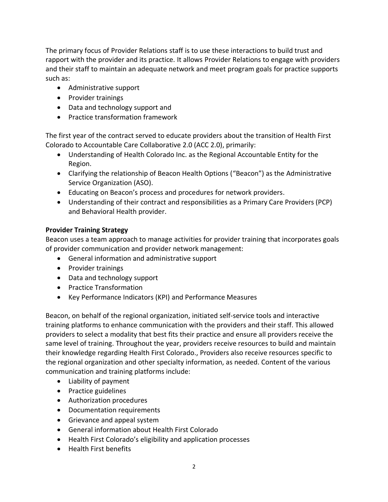The primary focus of Provider Relations staff is to use these interactions to build trust and rapport with the provider and its practice. It allows Provider Relations to engage with providers and their staff to maintain an adequate network and meet program goals for practice supports such as:

- Administrative support
- Provider trainings
- Data and technology support and
- Practice transformation framework

The first year of the contract served to educate providers about the transition of Health First Colorado to Accountable Care Collaborative 2.0 (ACC 2.0), primarily:

- Understanding of Health Colorado Inc. as the Regional Accountable Entity for the Region.
- Clarifying the relationship of Beacon Health Options ("Beacon") as the Administrative Service Organization (ASO).
- Educating on Beacon's process and procedures for network providers.
- Understanding of their contract and responsibilities as a Primary Care Providers (PCP) and Behavioral Health provider.

## **Provider Training Strategy**

Beacon uses a team approach to manage activities for provider training that incorporates goals of provider communication and provider network management:

- General information and administrative support
- Provider trainings
- Data and technology support
- Practice Transformation
- Key Performance Indicators (KPI) and Performance Measures

Beacon, on behalf of the regional organization, initiated self-service tools and interactive training platforms to enhance communication with the providers and their staff. This allowed providers to select a modality that best fits their practice and ensure all providers receive the same level of training. Throughout the year, providers receive resources to build and maintain their knowledge regarding Health First Colorado., Providers also receive resources specific to the regional organization and other specialty information, as needed. Content of the various communication and training platforms include:

- Liability of payment
- Practice guidelines
- Authorization procedures
- Documentation requirements
- Grievance and appeal system
- General information about Health First Colorado
- Health First Colorado's eligibility and application processes
- Health First benefits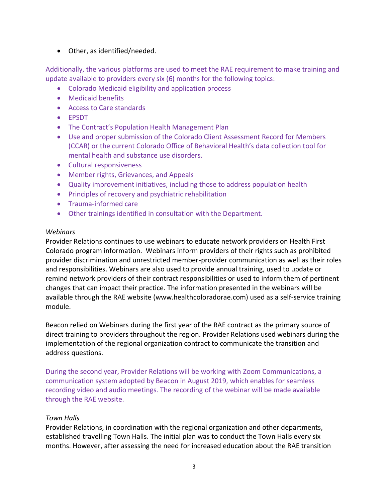• Other, as identified/needed.

Additionally, the various platforms are used to meet the RAE requirement to make training and update available to providers every six (6) months for the following topics:

- Colorado Medicaid eligibility and application process
- Medicaid benefits
- Access to Care standards
- EPSDT
- The Contract's Population Health Management Plan
- Use and proper submission of the Colorado Client Assessment Record for Members (CCAR) or the current Colorado Office of Behavioral Health's data collection tool for mental health and substance use disorders.
- Cultural responsiveness
- Member rights, Grievances, and Appeals
- Quality improvement initiatives, including those to address population health
- Principles of recovery and psychiatric rehabilitation
- Trauma-informed care
- Other trainings identified in consultation with the Department.

#### *Webinars*

Provider Relations continues to use webinars to educate network providers on Health First Colorado program information. Webinars inform providers of their rights such as prohibited provider discrimination and unrestricted member-provider communication as well as their roles and responsibilities. Webinars are also used to provide annual training, used to update or remind network providers of their contract responsibilities or used to inform them of pertinent changes that can impact their practice. The information presented in the webinars will be available through the RAE website (www.healthcoloradorae.com) used as a self-service training module.

Beacon relied on Webinars during the first year of the RAE contract as the primary source of direct training to providers throughout the region. Provider Relations used webinars during the implementation of the regional organization contract to communicate the transition and address questions.

During the second year, Provider Relations will be working with Zoom Communications, a communication system adopted by Beacon in August 2019, which enables for seamless recording video and audio meetings. The recording of the webinar will be made available through the RAE website.

#### *Town Halls*

Provider Relations, in coordination with the regional organization and other departments, established travelling Town Halls. The initial plan was to conduct the Town Halls every six months. However, after assessing the need for increased education about the RAE transition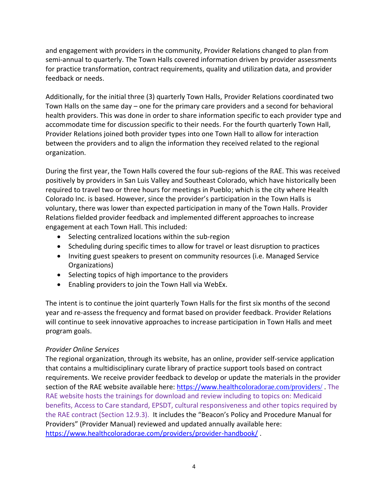and engagement with providers in the community, Provider Relations changed to plan from semi-annual to quarterly. The Town Halls covered information driven by provider assessments for practice transformation, contract requirements, quality and utilization data, and provider feedback or needs.

Additionally, for the initial three (3) quarterly Town Halls, Provider Relations coordinated two Town Halls on the same day – one for the primary care providers and a second for behavioral health providers. This was done in order to share information specific to each provider type and accommodate time for discussion specific to their needs. For the fourth quarterly Town Hall, Provider Relations joined both provider types into one Town Hall to allow for interaction between the providers and to align the information they received related to the regional organization.

During the first year, the Town Halls covered the four sub-regions of the RAE. This was received positively by providers in San Luis Valley and Southeast Colorado, which have historically been required to travel two or three hours for meetings in Pueblo; which is the city where Health Colorado Inc. is based. However, since the provider's participation in the Town Halls is voluntary, there was lower than expected participation in many of the Town Halls. Provider Relations fielded provider feedback and implemented different approaches to increase engagement at each Town Hall. This included:

- Selecting centralized locations within the sub-region
- Scheduling during specific times to allow for travel or least disruption to practices
- Inviting guest speakers to present on community resources (i.e. Managed Service Organizations)
- Selecting topics of high importance to the providers
- Enabling providers to join the Town Hall via WebEx.

The intent is to continue the joint quarterly Town Halls for the first six months of the second year and re-assess the frequency and format based on provider feedback. Provider Relations will continue to seek innovative approaches to increase participation in Town Halls and meet program goals.

## *Provider Online Services*

The regional organization, through its website, has an online, provider self-service application that contains a multidisciplinary curate library of practice support tools based on contract requirements. We receive provider feedback to develop or update the materials in the provider section of the RAE website available here: https://www.healthco[loradorae.com/providers/](https://www.healthcoloradorae.com/providers/). The RAE website hosts the trainings for download and review including to topics on: Medicaid benefits, Access to Care standard, EPSDT, cultural responsiveness and other topics required by the RAE contract (Section 12.9.3). It includes the "Beacon's Policy and Procedure Manual for Providers" (Provider Manual) reviewed and updated annually available here: <https://www.healthcoloradorae.com/providers/provider-handbook/> .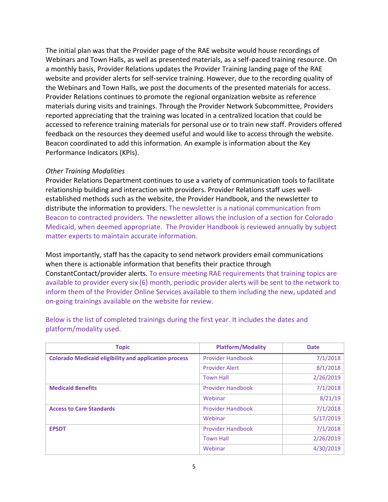The initial plan was that the Provider page of the RAE website would house recordings of Webinars and Town Halls, as well as presented materials, as a self-paced training resource. On a monthly basis, Provider Relations updates the Provider Training landing page of the RAE website and provider alerts for self-service training. However, due to the recording quality of the Webinars and Town Halls, we post the documents of the presented materials for access. Provider Relations continues to promote the regional organization website as reference materials during visits and trainings. Through the Provider Network Subcommittee, Providers reported appreciating that the training was located in a centralized location that could be accessed to reference training materials for personal use or to train new staff. Providers offered feedback on the resources they deemed useful and would like to access through the website. Beacon coordinated to add this information. An example is information about the Key Performance Indicators (KPIs).

#### *Other Training Modalities*

Provider Relations Department continues to use a variety of communication tools to facilitate relationship building and interaction with providers. Provider Relations staff uses wellestablished methods such as the website, the Provider Handbook, and the newsletter to distribute the information to providers. The newsletter is a national communication from Beacon to contracted providers. The newsletter allows the inclusion of a section for Colorado Medicaid, when deemed appropriate. The Provider Handbook is reviewed annually by subject matter experts to maintain accurate information.

Most importantly, staff has the capacity to send network providers email communications when there is actionable information that benefits their practice through ConstantContact/provider alerts. To ensure meeting RAE requirements that training topics are available to provider every six (6) month, periodic provider alerts will be sent to the network to inform them of the Provider Online Services available to them including the new, updated and on-going trainings available on the website for review.

| <b>Topic</b>                                                 | <b>Platform/Modality</b> | <b>Date</b> |
|--------------------------------------------------------------|--------------------------|-------------|
| <b>Colorado Medicaid eligibility and application process</b> | <b>Provider Handbook</b> | 7/1/2018    |
|                                                              | <b>Provider Alert</b>    | 8/1/2018    |
|                                                              | <b>Town Hall</b>         | 2/26/2019   |
| <b>Medicaid Benefits</b>                                     | <b>Provider Handbook</b> | 7/1/2018    |
|                                                              | Webinar                  | 8/21/19     |
| <b>Access to Care Standards</b>                              | <b>Provider Handbook</b> | 7/1/2018    |
|                                                              | Webinar                  | 5/17/2019   |
| <b>EPSDT</b>                                                 | <b>Provider Handbook</b> | 7/1/2018    |
|                                                              | <b>Town Hall</b>         | 2/26/2019   |
|                                                              | Webinar                  | 4/30/2019   |

Below is the list of completed trainings during the first year. It includes the dates and platform/modality used.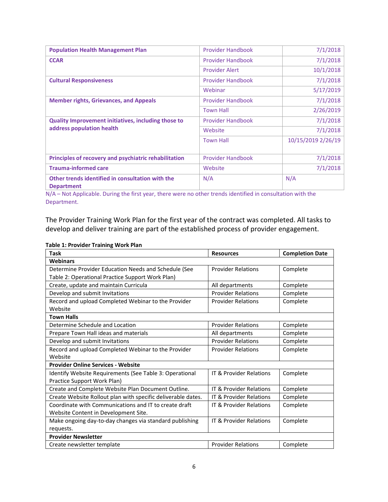| <b>Population Health Management Plan</b>                                                | <b>Provider Handbook</b> | 7/1/2018           |
|-----------------------------------------------------------------------------------------|--------------------------|--------------------|
| <b>CCAR</b>                                                                             | Provider Handbook        | 7/1/2018           |
|                                                                                         | Provider Alert           | 10/1/2018          |
| <b>Cultural Responsiveness</b>                                                          | Provider Handbook        | 7/1/2018           |
|                                                                                         | Webinar                  | 5/17/2019          |
| <b>Member rights, Grievances, and Appeals</b>                                           | Provider Handbook        | 7/1/2018           |
|                                                                                         | <b>Town Hall</b>         | 2/26/2019          |
| <b>Quality Improvement initiatives, including those to</b><br>address population health | Provider Handbook        | 7/1/2018           |
|                                                                                         | Website                  | 7/1/2018           |
|                                                                                         | <b>Town Hall</b>         | 10/15/2019 2/26/19 |
|                                                                                         |                          |                    |
| Principles of recovery and psychiatric rehabilitation                                   | <b>Provider Handbook</b> | 7/1/2018           |
| <b>Trauma-informed care</b>                                                             | Website                  | 7/1/2018           |
| Other trends identified in consultation with the<br><b>Department</b>                   | N/A                      | N/A                |

N/A – Not Applicable. During the first year, there were no other trends identified in consultation with the Department.

The Provider Training Work Plan for the first year of the contract was completed. All tasks to develop and deliver training are part of the established process of provider engagement.

#### **Table 1: Provider Training Work Plan**

| <b>Task</b>                                                    | <b>Resources</b>                   | <b>Completion Date</b> |  |  |
|----------------------------------------------------------------|------------------------------------|------------------------|--|--|
| <b>Webinars</b>                                                |                                    |                        |  |  |
| Determine Provider Education Needs and Schedule (See           | <b>Provider Relations</b>          | Complete               |  |  |
| Table 2: Operational Practice Support Work Plan)               |                                    |                        |  |  |
| Create, update and maintain Curricula                          | All departments                    | Complete               |  |  |
| Develop and submit Invitations                                 | <b>Provider Relations</b>          | Complete               |  |  |
| Record and upload Completed Webinar to the Provider<br>Website | <b>Provider Relations</b>          | Complete               |  |  |
| <b>Town Halls</b>                                              |                                    |                        |  |  |
| Determine Schedule and Location                                | <b>Provider Relations</b>          | Complete               |  |  |
| Prepare Town Hall ideas and materials                          | All departments                    | Complete               |  |  |
| Develop and submit Invitations                                 | <b>Provider Relations</b>          | Complete               |  |  |
| Record and upload Completed Webinar to the Provider            | <b>Provider Relations</b>          | Complete               |  |  |
| Website                                                        |                                    |                        |  |  |
| <b>Provider Online Services - Website</b>                      |                                    |                        |  |  |
| Identify Website Requirements (See Table 3: Operational        | <b>IT &amp; Provider Relations</b> | Complete               |  |  |
| Practice Support Work Plan)                                    |                                    |                        |  |  |
| Create and Complete Website Plan Document Outline.             | <b>IT &amp; Provider Relations</b> | Complete               |  |  |
| Create Website Rollout plan with specific deliverable dates.   | IT & Provider Relations            | Complete               |  |  |
| Coordinate with Communications and IT to create draft          | IT & Provider Relations            | Complete               |  |  |
| Website Content in Development Site.                           |                                    |                        |  |  |
| Make ongoing day-to-day changes via standard publishing        | <b>IT &amp; Provider Relations</b> | Complete               |  |  |
| requests.                                                      |                                    |                        |  |  |
| <b>Provider Newsletter</b>                                     |                                    |                        |  |  |
| Create newsletter template                                     | <b>Provider Relations</b>          | Complete               |  |  |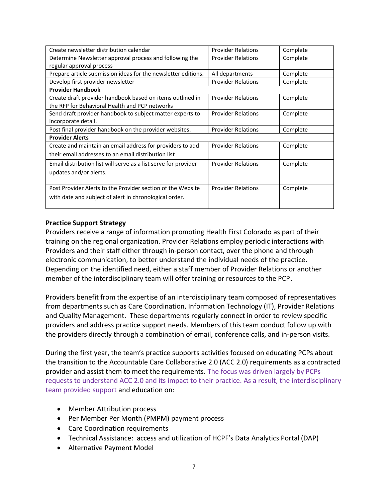| Create newsletter distribution calendar                         | <b>Provider Relations</b> | Complete |
|-----------------------------------------------------------------|---------------------------|----------|
| Determine Newsletter approval process and following the         | <b>Provider Relations</b> | Complete |
| regular approval process                                        |                           |          |
| Prepare article submission ideas for the newsletter editions.   | All departments           | Complete |
| Develop first provider newsletter                               | <b>Provider Relations</b> | Complete |
| <b>Provider Handbook</b>                                        |                           |          |
| Create draft provider handbook based on items outlined in       | <b>Provider Relations</b> | Complete |
| the RFP for Behavioral Health and PCP networks                  |                           |          |
| Send draft provider handbook to subject matter experts to       | <b>Provider Relations</b> | Complete |
| incorporate detail.                                             |                           |          |
| Post final provider handbook on the provider websites.          | <b>Provider Relations</b> | Complete |
| <b>Provider Alerts</b>                                          |                           |          |
| Create and maintain an email address for providers to add       | <b>Provider Relations</b> | Complete |
| their email addresses to an email distribution list             |                           |          |
| Email distribution list will serve as a list serve for provider | <b>Provider Relations</b> | Complete |
| updates and/or alerts.                                          |                           |          |
|                                                                 |                           |          |
| Post Provider Alerts to the Provider section of the Website     | <b>Provider Relations</b> | Complete |
| with date and subject of alert in chronological order.          |                           |          |
|                                                                 |                           |          |

## **Practice Support Strategy**

Providers receive a range of information promoting Health First Colorado as part of their training on the regional organization. Provider Relations employ periodic interactions with Providers and their staff either through in-person contact, over the phone and through electronic communication, to better understand the individual needs of the practice. Depending on the identified need, either a staff member of Provider Relations or another member of the interdisciplinary team will offer training or resources to the PCP.

Providers benefit from the expertise of an interdisciplinary team composed of representatives from departments such as Care Coordination, Information Technology (IT), Provider Relations and Quality Management. These departments regularly connect in order to review specific providers and address practice support needs. Members of this team conduct follow up with the providers directly through a combination of email, conference calls, and in-person visits.

During the first year, the team's practice supports activities focused on educating PCPs about the transition to the Accountable Care Collaborative 2.0 (ACC 2.0) requirements as a contracted provider and assist them to meet the requirements. The focus was driven largely by PCPs requests to understand ACC 2.0 and its impact to their practice. As a result, the interdisciplinary team provided support and education on:

- Member Attribution process
- Per Member Per Month (PMPM) payment process
- Care Coordination requirements
- Technical Assistance: access and utilization of HCPF's Data Analytics Portal (DAP)
- Alternative Payment Model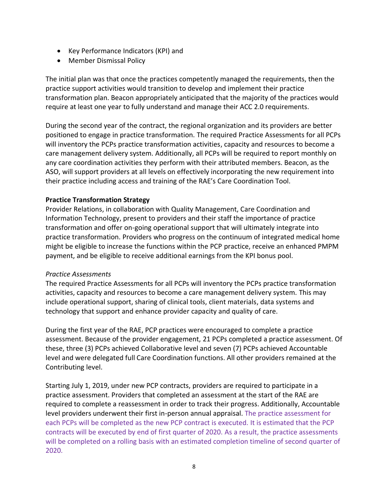- Key Performance Indicators (KPI) and
- Member Dismissal Policy

The initial plan was that once the practices competently managed the requirements, then the practice support activities would transition to develop and implement their practice transformation plan. Beacon appropriately anticipated that the majority of the practices would require at least one year to fully understand and manage their ACC 2.0 requirements.

During the second year of the contract, the regional organization and its providers are better positioned to engage in practice transformation. The required Practice Assessments for all PCPs will inventory the PCPs practice transformation activities, capacity and resources to become a care management delivery system. Additionally, all PCPs will be required to report monthly on any care coordination activities they perform with their attributed members. Beacon, as the ASO, will support providers at all levels on effectively incorporating the new requirement into their practice including access and training of the RAE's Care Coordination Tool.

## **Practice Transformation Strategy**

Provider Relations, in collaboration with Quality Management, Care Coordination and Information Technology, present to providers and their staff the importance of practice transformation and offer on-going operational support that will ultimately integrate into practice transformation. Providers who progress on the continuum of integrated medical home might be eligible to increase the functions within the PCP practice, receive an enhanced PMPM payment, and be eligible to receive additional earnings from the KPI bonus pool.

## *Practice Assessments*

The required Practice Assessments for all PCPs will inventory the PCPs practice transformation activities, capacity and resources to become a care management delivery system. This may include operational support, sharing of clinical tools, client materials, data systems and technology that support and enhance provider capacity and quality of care.

During the first year of the RAE, PCP practices were encouraged to complete a practice assessment. Because of the provider engagement, 21 PCPs completed a practice assessment. Of these, three (3) PCPs achieved Collaborative level and seven (7) PCPs achieved Accountable level and were delegated full Care Coordination functions. All other providers remained at the Contributing level.

Starting July 1, 2019, under new PCP contracts, providers are required to participate in a practice assessment. Providers that completed an assessment at the start of the RAE are required to complete a reassessment in order to track their progress. Additionally, Accountable level providers underwent their first in-person annual appraisal. The practice assessment for each PCPs will be completed as the new PCP contract is executed. It is estimated that the PCP contracts will be executed by end of first quarter of 2020. As a result, the practice assessments will be completed on a rolling basis with an estimated completion timeline of second quarter of 2020.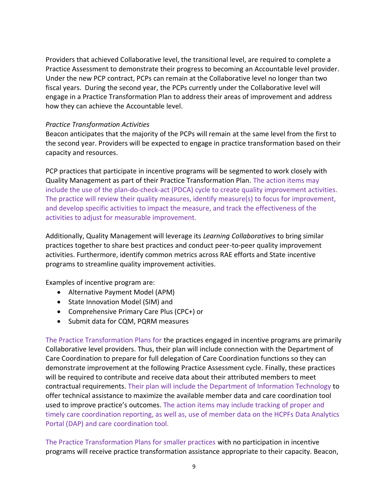Providers that achieved Collaborative level, the transitional level, are required to complete a Practice Assessment to demonstrate their progress to becoming an Accountable level provider. Under the new PCP contract, PCPs can remain at the Collaborative level no longer than two fiscal years. During the second year, the PCPs currently under the Collaborative level will engage in a Practice Transformation Plan to address their areas of improvement and address how they can achieve the Accountable level.

#### *Practice Transformation Activities*

Beacon anticipates that the majority of the PCPs will remain at the same level from the first to the second year. Providers will be expected to engage in practice transformation based on their capacity and resources.

PCP practices that participate in incentive programs will be segmented to work closely with Quality Management as part of their Practice Transformation Plan. The action items may include the use of the plan-do-check-act (PDCA) cycle to create quality improvement activities. The practice will review their quality measures, identify measure(s) to focus for improvement, and develop specific activities to impact the measure, and track the effectiveness of the activities to adjust for measurable improvement.

Additionally, Quality Management will leverage its *Learning Collaboratives* to bring similar practices together to share best practices and conduct peer-to-peer quality improvement activities. Furthermore, identify common metrics across RAE efforts and State incentive programs to streamline quality improvement activities.

Examples of incentive program are:

- Alternative Payment Model (APM)
- State Innovation Model (SIM) and
- Comprehensive Primary Care Plus (CPC+) or
- Submit data for CQM, PQRM measures

The Practice Transformation Plans for the practices engaged in incentive programs are primarily Collaborative level providers. Thus, their plan will include connection with the Department of Care Coordination to prepare for full delegation of Care Coordination functions so they can demonstrate improvement at the following Practice Assessment cycle. Finally, these practices will be required to contribute and receive data about their attributed members to meet contractual requirements. Their plan will include the Department of Information Technology to offer technical assistance to maximize the available member data and care coordination tool used to improve practice's outcomes. The action items may include tracking of proper and timely care coordination reporting, as well as, use of member data on the HCPFs Data Analytics Portal (DAP) and care coordination tool.

The Practice Transformation Plans for smaller practices with no participation in incentive programs will receive practice transformation assistance appropriate to their capacity. Beacon,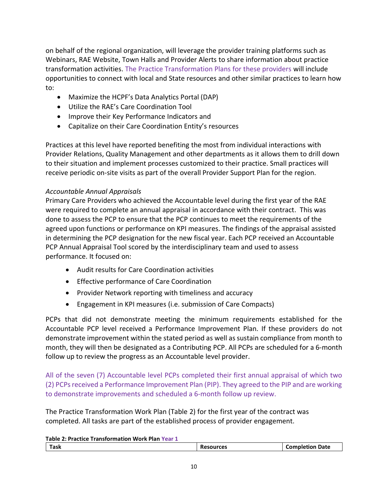on behalf of the regional organization, will leverage the provider training platforms such as Webinars, RAE Website, Town Halls and Provider Alerts to share information about practice transformation activities. The Practice Transformation Plans for these providers will include opportunities to connect with local and State resources and other similar practices to learn how to:

- Maximize the HCPF's Data Analytics Portal (DAP)
- Utilize the RAE's Care Coordination Tool
- Improve their Key Performance Indicators and
- Capitalize on their Care Coordination Entity's resources

Practices at this level have reported benefiting the most from individual interactions with Provider Relations, Quality Management and other departments as it allows them to drill down to their situation and implement processes customized to their practice. Small practices will receive periodic on-site visits as part of the overall Provider Support Plan for the region.

## *Accountable Annual Appraisals*

Primary Care Providers who achieved the Accountable level during the first year of the RAE were required to complete an annual appraisal in accordance with their contract. This was done to assess the PCP to ensure that the PCP continues to meet the requirements of the agreed upon functions or performance on KPI measures. The findings of the appraisal assisted in determining the PCP designation for the new fiscal year. Each PCP received an Accountable PCP Annual Appraisal Tool scored by the interdisciplinary team and used to assess performance. It focused on:

- Audit results for Care Coordination activities
- Effective performance of Care Coordination
- Provider Network reporting with timeliness and accuracy
- Engagement in KPI measures (i.e. submission of Care Compacts)

PCPs that did not demonstrate meeting the minimum requirements established for the Accountable PCP level received a Performance Improvement Plan. If these providers do not demonstrate improvement within the stated period as well as sustain compliance from month to month, they will then be designated as a Contributing PCP. All PCPs are scheduled for a 6-month follow up to review the progress as an Accountable level provider.

All of the seven (7) Accountable level PCPs completed their first annual appraisal of which two (2) PCPs received a Performance Improvement Plan (PIP). They agreed to the PIP and are working to demonstrate improvements and scheduled a 6-month follow up review.

The Practice Transformation Work Plan (Table 2) for the first year of the contract was completed. All tasks are part of the established process of provider engagement.

**Table 2: Practice Transformation Work Plan Year 1**

| .<br>.<br>____<br>___<br>.<br>Task | ---<br>-------- | <b>Date</b><br>∴omnie:<br>יחוזי |
|------------------------------------|-----------------|---------------------------------|
|                                    |                 |                                 |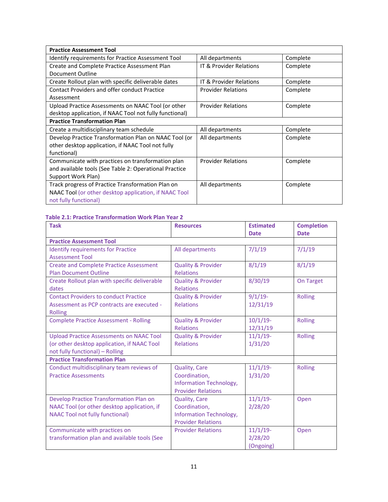| <b>Practice Assessment Tool</b>                         |                           |          |  |
|---------------------------------------------------------|---------------------------|----------|--|
| Identify requirements for Practice Assessment Tool      | All departments           | Complete |  |
| Create and Complete Practice Assessment Plan            | IT & Provider Relations   | Complete |  |
| Document Outline                                        |                           |          |  |
| Create Rollout plan with specific deliverable dates     | IT & Provider Relations   | Complete |  |
| <b>Contact Providers and offer conduct Practice</b>     | <b>Provider Relations</b> | Complete |  |
| Assessment                                              |                           |          |  |
| Upload Practice Assessments on NAAC Tool (or other      | <b>Provider Relations</b> | Complete |  |
| desktop application, if NAAC Tool not fully functional) |                           |          |  |
| <b>Practice Transformation Plan</b>                     |                           |          |  |
| Create a multidisciplinary team schedule                | All departments           | Complete |  |
| Develop Practice Transformation Plan on NAAC Tool (or   | All departments           | Complete |  |
| other desktop application, if NAAC Tool not fully       |                           |          |  |
| functional)                                             |                           |          |  |
| Communicate with practices on transformation plan       | <b>Provider Relations</b> | Complete |  |
| and available tools (See Table 2: Operational Practice  |                           |          |  |
| Support Work Plan)                                      |                           |          |  |
| Track progress of Practice Transformation Plan on       | All departments           | Complete |  |
| NAAC Tool (or other desktop application, if NAAC Tool   |                           |          |  |
| not fully functional)                                   |                           |          |  |

#### **Table 2.1: Practice Transformation Work Plan Year 2**

| <b>Task</b>                                                                                                                       | <b>Resources</b>                                                                              | <b>Estimated</b><br><b>Date</b>     | <b>Completion</b><br><b>Date</b> |
|-----------------------------------------------------------------------------------------------------------------------------------|-----------------------------------------------------------------------------------------------|-------------------------------------|----------------------------------|
| <b>Practice Assessment Tool</b>                                                                                                   |                                                                                               |                                     |                                  |
| <b>Identify requirements for Practice</b><br><b>Assessment Tool</b>                                                               | All departments                                                                               | 7/1/19                              | 7/1/19                           |
| <b>Create and Complete Practice Assessment</b><br><b>Plan Document Outline</b>                                                    | <b>Quality &amp; Provider</b><br><b>Relations</b>                                             | 8/1/19                              | 8/1/19                           |
| Create Rollout plan with specific deliverable<br>dates                                                                            | <b>Quality &amp; Provider</b><br><b>Relations</b>                                             | 8/30/19                             | <b>On Target</b>                 |
| <b>Contact Providers to conduct Practice</b><br>Assessment as PCP contracts are executed -<br><b>Rolling</b>                      | <b>Quality &amp; Provider</b><br><b>Relations</b>                                             | $9/1/19$ -<br>12/31/19              | <b>Rolling</b>                   |
| <b>Complete Practice Assessment - Rolling</b>                                                                                     | <b>Quality &amp; Provider</b><br><b>Relations</b>                                             | $10/1/19$ -<br>12/31/19             | <b>Rolling</b>                   |
| <b>Upload Practice Assessments on NAAC Tool</b><br>(or other desktop application, if NAAC Tool<br>not fully functional) - Rolling | <b>Quality &amp; Provider</b><br><b>Relations</b>                                             | $11/1/19$ -<br>1/31/20              | <b>Rolling</b>                   |
| <b>Practice Transformation Plan</b>                                                                                               |                                                                                               |                                     |                                  |
| Conduct multidisciplinary team reviews of<br><b>Practice Assessments</b>                                                          | <b>Quality, Care</b><br>Coordination,<br>Information Technology,<br><b>Provider Relations</b> | $11/1/19$ -<br>1/31/20              | <b>Rolling</b>                   |
| Develop Practice Transformation Plan on<br>NAAC Tool (or other desktop application, if<br><b>NAAC Tool not fully functional)</b>  | <b>Quality, Care</b><br>Coordination,<br>Information Technology,<br><b>Provider Relations</b> | $11/1/19$ -<br>2/28/20              | Open                             |
| Communicate with practices on<br>transformation plan and available tools (See                                                     | <b>Provider Relations</b>                                                                     | $11/1/19$ -<br>2/28/20<br>(Ongoing) | Open                             |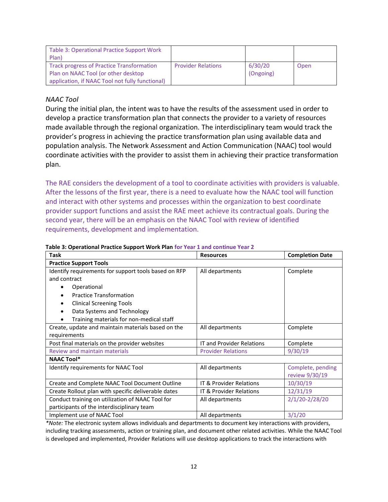| <b>Table 3: Operational Practice Support Work</b><br>Plan)                                                                                 |                           |                      |      |
|--------------------------------------------------------------------------------------------------------------------------------------------|---------------------------|----------------------|------|
| <b>Track progress of Practice Transformation</b><br>Plan on NAAC Tool (or other desktop<br>application, if NAAC Tool not fully functional) | <b>Provider Relations</b> | 6/30/20<br>(Ongoing) | Open |

#### *NAAC Tool*

During the initial plan, the intent was to have the results of the assessment used in order to develop a practice transformation plan that connects the provider to a variety of resources made available through the regional organization. The interdisciplinary team would track the provider's progress in achieving the practice transformation plan using available data and population analysis. The Network Assessment and Action Communication (NAAC) tool would coordinate activities with the provider to assist them in achieving their practice transformation plan.

The RAE considers the development of a tool to coordinate activities with providers is valuable. After the lessons of the first year, there is a need to evaluate how the NAAC tool will function and interact with other systems and processes within the organization to best coordinate provider support functions and assist the RAE meet achieve its contractual goals. During the second year, there will be an emphasis on the NAAC Tool with review of identified requirements, development and implementation.

| Task                                                 | <b>Resources</b>                 | <b>Completion Date</b> |
|------------------------------------------------------|----------------------------------|------------------------|
| <b>Practice Support Tools</b>                        |                                  |                        |
| Identify requirements for support tools based on RFP | All departments                  | Complete               |
| and contract                                         |                                  |                        |
| Operational                                          |                                  |                        |
| <b>Practice Transformation</b>                       |                                  |                        |
| <b>Clinical Screening Tools</b><br>٠                 |                                  |                        |
| Data Systems and Technology                          |                                  |                        |
| Training materials for non-medical staff             |                                  |                        |
| Create, update and maintain materials based on the   | All departments                  | Complete               |
| requirements                                         |                                  |                        |
| Post final materials on the provider websites        | <b>IT and Provider Relations</b> | Complete               |
| <b>Review and maintain materials</b>                 | <b>Provider Relations</b>        | 9/30/19                |
| <b>NAAC Tool*</b>                                    |                                  |                        |
| Identify requirements for NAAC Tool                  | All departments                  | Complete, pending      |
|                                                      |                                  | review 9/30/19         |
| Create and Complete NAAC Tool Document Outline       | IT & Provider Relations          | 10/30/19               |
| Create Rollout plan with specific deliverable dates  | IT & Provider Relations          | 12/31/19               |
| Conduct training on utilization of NAAC Tool for     | All departments                  | 2/1/20-2/28/20         |
| participants of the interdisciplinary team           |                                  |                        |
| Implement use of NAAC Tool                           | All departments                  | 3/1/20                 |

#### **Table 3: Operational Practice Support Work Plan for Year 1 and continue Year 2**

*\*Note:* The electronic system allows individuals and departments to document key interactions with providers, including tracking assessments, action or training plan, and document other related activities. While the NAAC Tool is developed and implemented, Provider Relations will use desktop applications to track the interactions with